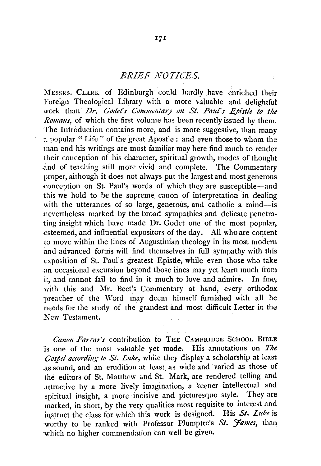## *BRIEF NOTICES.*

MESSRS. CLARK of Edinburgh could hardly have enriched their Foreign Theological Library with a more valuable and delightful work than *Dr. Godet's Commentary on St. Paul's Epistle to the Romans*, of which the first volume has been recently issued by them. The Introduction contains more, and is more suggestive, than many n popular "Life" of the great Apostle : and even those to whom the man and his writings are most familiar may here find much to render their conception of his character, spiritual growth, modes of thought .1nd of teaching still more vivid and complete. The Commentary proper, although it does not always put the largest and most generous (:onception on St. Paul's words of which they are susceptible-and this we hold to be the supreme canon of interpretation in dealing with the utterances of so large, generous, and catholic a mind--is nevertheless marked by the broad sympathies and delicate penetrating insight which have made Dr. Godet one of the most popular, esteemed, and influential expositors of the day. All who are content to move within the lines of Augustinian theology in its most modern and advanced forms will find themselves in full sympathy with this exposition of St. Paul's greatest Epistle, while even those who take an occasional excursion beyond those lines may yet learn much from it, and cannot fail to find in it much to love and admire. In fine; with this and Mr. Beet's Commentary at hand, every orthodox preacher of the Word may deem himself furnished with all he needs for the study of the grandest and most difficult Letter in the New Testament.

*Canon Farrar's* contribution to THE CAMBRIDGE SCHOOL BIBLE is one of the most valuable yet made. His annotations on The *Gospel according to St. Luke,* while they display a scholarship at least .as sound, and an erudition at least as wide and varied as those of the editors of St. Matthew and St. Mark, are rendered telling and attractive by a more lively imagination, a keener intellectual and spiritual insight, a more incisive and picturesque style. They are marked, in short, by the very qualities most requisite to interest and instruct the class for which this work is designed. His  $St.$  Luke is worthy to be ranked with Professor Plumptre's St. James, than which no higher commendation can well be given.